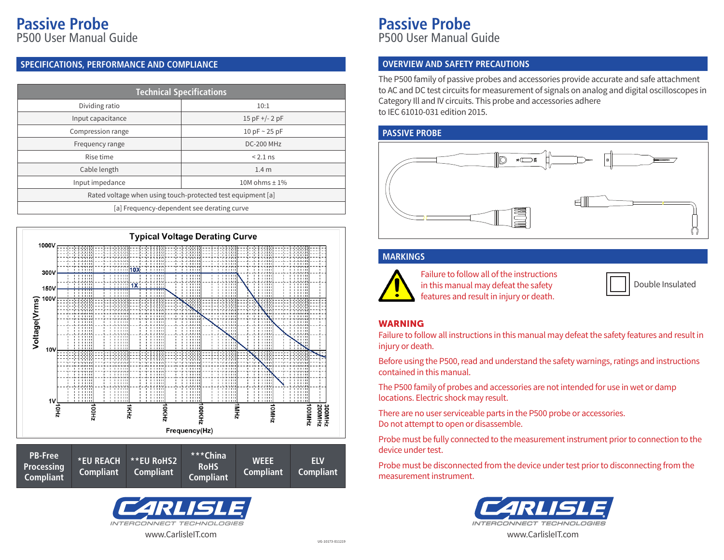# **Passive Probe**

P500 User Manual Guide

### **SPECIFICATIONS, PERFORMANCE AND COMPLIANCE**

| <b>Technical Specifications</b>                             |                     |  |
|-------------------------------------------------------------|---------------------|--|
| Dividing ratio                                              | 10:1                |  |
| Input capacitance                                           | $15$ pF +/- 2 pF    |  |
| Compression range                                           | 10 pF $\sim$ 25 pF  |  |
| Frequency range                                             | <b>DC-200 MHz</b>   |  |
| Rise time                                                   | $< 2.1$ ns          |  |
| Cable length                                                | 1.4 <sub>m</sub>    |  |
| Input impedance                                             | $10M$ ohms $\pm$ 1% |  |
| Rated voltage when using touch-protected test equipment [a] |                     |  |
| [a] Frequency-dependent see derating curve                  |                     |  |







### **Passive Probe** P500 User Manual Guide

#### **OVERVIEW AND SAFETY PRECAUTIONS**

The P500 family of passive probes and accessories provide accurate and safe attachment to AC and DC test circuits for measurement of signals on analog and digital oscilloscopes in Category Ill and IV circuits. This probe and accessories adhere to IEC 61010-031 edition 2015.

### **PASSIVE PROBE**



### **MARKINGS**



Failure to follow all of the instructions in this manual may defeat the safety features and result in injury or death.

|  | Double Insulated |
|--|------------------|
|--|------------------|

### WARNING

Failure to follow all instructions in this manual may defeat the safety features and result in injury or death.

Before using the P500, read and understand the safety warnings, ratings and instructions contained in this manual.

The P500 family of probes and accessories are not intended for use in wet or damp locations. Electric shock may result.

There are no user serviceable parts in the P500 probe or accessories. Do not attempt to open or disassemble.

Probe must be fully connected to the measurement instrument prior to connection to the device under test.

Probe must be disconnected from the device under test prior to disconnecting from the measurement instrument.